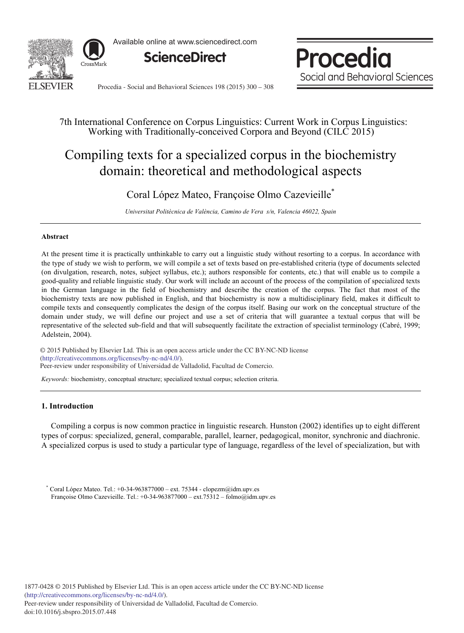

Available online at www.sciencedirect.com



Procedia Social and Behavioral Sciences

Procedia - Social and Behavioral Sciences 198 (2015) 300 - 308

# 7th International Conference on Corpus Linguistics: Current Work in Corpus Linguistics: Working with Traditionally-conceived Corpora and Beyond (CILC 2015)

# Compiling texts for a specialized corpus in the biochemistry domain: theoretical and methodological aspects

# Coral López Mateo, Françoise Olmo Cazevieille\*

*Universitat Politècnica de València, Camino de Vera s/n, Valencia 46022, Spain* 

### **Abstract**

At the present time it is practically unthinkable to carry out a linguistic study without resorting to a corpus. In accordance with the type of study we wish to perform, we will compile a set of texts based on pre-established criteria (type of documents selected (on divulgation, research, notes, subject syllabus, etc.); authors responsible for contents, etc.) that will enable us to compile a good-quality and reliable linguistic study. Our work will include an account of the process of the compilation of specialized texts in the German language in the field of biochemistry and describe the creation of the corpus. The fact that most of the biochemistry texts are now published in English, and that biochemistry is now a multidisciplinary field, makes it difficult to compile texts and consequently complicates the design of the corpus itself. Basing our work on the conceptual structure of the domain under study, we will define our project and use a set of criteria that will guarantee a textual corpus that will be representative of the selected sub-field and that will subsequently facilitate the extraction of specialist terminology (Cabré, 1999; Adelstein, 2004).

© 2015 Published by Elsevier Ltd. This is an open access article under the CC BY-NC-ND license Peer-review under responsibility of Universidad de Valladolid, Facultad de Comercio. Peer-review under responsibility of Universidad de Valladolid, Facultad de Comercio.(http://creativecommons.org/licenses/by-nc-nd/4.0/).

*Keywords:* biochemistry, conceptual structure; specialized textual corpus; selection criteria.

# **1. Introduction**

Compiling a corpus is now common practice in linguistic research. Hunston (2002) identifies up to eight different types of corpus: specialized, general, comparable, parallel, learner, pedagogical, monitor, synchronic and diachronic. A specialized corpus is used to study a particular type of language, regardless of the level of specialization, but with

\* Coral López Mateo. Tel.: +0-34-963877000 – ext. 75344 *-* clopezm@idm.upv.es Françoise Olmo Cazevieille. Tel.: +0-34-963877000 – ext.75312 – folmo@idm.upv.es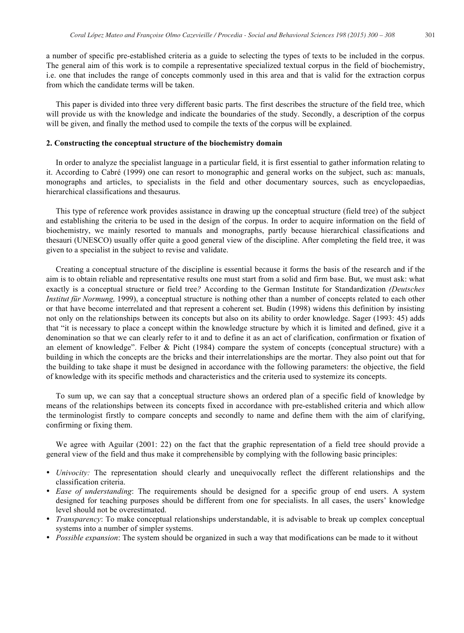a number of specific pre-established criteria as a guide to selecting the types of texts to be included in the corpus. The general aim of this work is to compile a representative specialized textual corpus in the field of biochemistry, i.e. one that includes the range of concepts commonly used in this area and that is valid for the extraction corpus from which the candidate terms will be taken.

This paper is divided into three very different basic parts. The first describes the structure of the field tree, which will provide us with the knowledge and indicate the boundaries of the study. Secondly, a description of the corpus will be given, and finally the method used to compile the texts of the corpus will be explained.

#### **2. Constructing the conceptual structure of the biochemistry domain**

In order to analyze the specialist language in a particular field, it is first essential to gather information relating to it. According to Cabré (1999) one can resort to monographic and general works on the subject, such as: manuals, monographs and articles, to specialists in the field and other documentary sources, such as encyclopaedias, hierarchical classifications and thesaurus.

This type of reference work provides assistance in drawing up the conceptual structure (field tree) of the subject and establishing the criteria to be used in the design of the corpus. In order to acquire information on the field of biochemistry, we mainly resorted to manuals and monographs, partly because hierarchical classifications and thesauri (UNESCO) usually offer quite a good general view of the discipline. After completing the field tree, it was given to a specialist in the subject to revise and validate.

Creating a conceptual structure of the discipline is essential because it forms the basis of the research and if the aim is to obtain reliable and representative results one must start from a solid and firm base. But, we must ask: what exactly is a conceptual structure or field tree*?* According to the German Institute for Standardization *(Deutsches Institut für Normung,* 1999), a conceptual structure is nothing other than a number of concepts related to each other or that have become interrelated and that represent a coherent set. Budín (1998) widens this definition by insisting not only on the relationships between its concepts but also on its ability to order knowledge. Sager (1993: 45) adds that "it is necessary to place a concept within the knowledge structure by which it is limited and defined, give it a denomination so that we can clearly refer to it and to define it as an act of clarification, confirmation or fixation of an element of knowledge". Felber & Picht (1984) compare the system of concepts (conceptual structure) with a building in which the concepts are the bricks and their interrelationships are the mortar. They also point out that for the building to take shape it must be designed in accordance with the following parameters: the objective, the field of knowledge with its specific methods and characteristics and the criteria used to systemize its concepts.

To sum up, we can say that a conceptual structure shows an ordered plan of a specific field of knowledge by means of the relationships between its concepts fixed in accordance with pre-established criteria and which allow the terminologist firstly to compare concepts and secondly to name and define them with the aim of clarifying, confirming or fixing them.

We agree with Aguilar (2001: 22) on the fact that the graphic representation of a field tree should provide a general view of the field and thus make it comprehensible by complying with the following basic principles:

- *Univocity:* The representation should clearly and unequivocally reflect the different relationships and the classification criteria.
- *Ease of understanding*: The requirements should be designed for a specific group of end users. A system designed for teaching purposes should be different from one for specialists. In all cases, the users' knowledge level should not be overestimated.
- *Transparency*: To make conceptual relationships understandable, it is advisable to break up complex conceptual systems into a number of simpler systems.
- *Possible expansion*: The system should be organized in such a way that modifications can be made to it without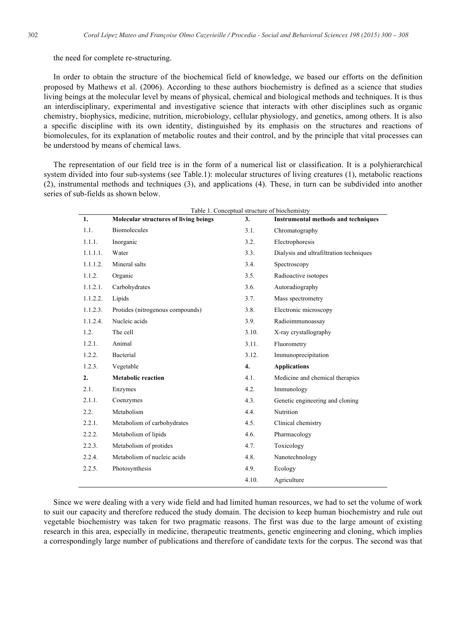## the need for complete re-structuring.

In order to obtain the structure of the biochemical field of knowledge, we based our efforts on the definition proposed by Mathews et al. (2006). According to these authors biochemistry is defined as a science that studies living beings at the molecular level by means of physical, chemical and biological methods and techniques. It is thus an interdisciplinary, experimental and investigative science that interacts with other disciplines such as organic chemistry, biophysics, medicine, nutrition, microbiology, cellular physiology, and genetics, among others. It is also a specific discipline with its own identity, distinguished by its emphasis on the structures and reactions of biomolecules, for its explanation of metabolic routes and their control, and by the principle that vital processes can be understood by means of chemical laws.

The representation of our field tree is in the form of a numerical list or classification. It is a polyhierarchical system divided into four sub-systems (see Table.1): molecular structures of living creatures (1), metabolic reactions (2), instrumental methods and techniques (3), and applications (4). These, in turn can be subdivided into another series of sub-fields as shown below.

| 1.       | Table 1. Conceptual structure of bioenemistry<br><b>Molecular structures of living beings</b> | 3.    | <b>Instrumental methods and techniques</b> |
|----------|-----------------------------------------------------------------------------------------------|-------|--------------------------------------------|
| 1.1.     | <b>Biomolecules</b>                                                                           | 3.1.  | Chromatography                             |
| 1.1.1.   | Inorganic                                                                                     | 3.2.  | Electrophoresis                            |
| 1.1.1.1. | Water                                                                                         | 3.3.  | Dialysis and ultrafiltration techniques    |
| 1.1.1.2. | Mineral salts                                                                                 | 3.4.  | Spectroscopy                               |
| 1.1.2.   | Organic                                                                                       | 3.5.  | Radioactive isotopes                       |
| 1.1.2.1. | Carbohydrates                                                                                 | 3.6.  | Autoradiography                            |
| 1.1.2.2. | Lipids                                                                                        | 3.7.  | Mass spectrometry                          |
| 1.1.2.3. | Protides (nitrogenous compounds)                                                              | 3.8.  | Electronic microscopy                      |
| 1.1.2.4. | Nucleic acids                                                                                 | 3.9.  | Radioimmunoassay                           |
| 1.2.     | The cell                                                                                      | 3.10. | X-ray crystallography                      |
| 1.2.1.   | Animal                                                                                        | 3.11. | Fluorometry                                |
| 1.2.2.   | Bacterial                                                                                     | 3.12. | Immunoprecipitation                        |
| 1.2.3.   | Vegetable                                                                                     | 4.    | <b>Applications</b>                        |
| 2.       | <b>Metabolic reaction</b>                                                                     | 4.1.  | Medicine and chemical therapies            |
| 2.1.     | Enzymes                                                                                       | 4.2.  | Immunology                                 |
| 2.1.1.   | Coenzymes                                                                                     | 4.3.  | Genetic engineering and cloning            |
| 2.2.     | Metabolism                                                                                    | 4.4.  | Nutrition                                  |
| 2.2.1.   | Metabolism of carbohydrates                                                                   | 4.5.  | Clinical chemistry                         |
| 2.2.2.   | Metabolism of lipids                                                                          | 4.6.  | Pharmacology                               |
| 2.2.3.   | Metabolism of protides                                                                        | 4.7.  | Toxicology                                 |
| 2.2.4.   | Metabolism of nucleic acids                                                                   | 4.8.  | Nanotechnology                             |
| 2.2.5.   | Photosynthesis                                                                                | 4.9.  | Ecology                                    |
|          |                                                                                               | 4.10. | Agriculture                                |

Table 1. Conceptual structure of biochemistry

Since we were dealing with a very wide field and had limited human resources, we had to set the volume of work to suit our capacity and therefore reduced the study domain. The decision to keep human biochemistry and rule out vegetable biochemistry was taken for two pragmatic reasons. The first was due to the large amount of existing research in this area, especially in medicine, therapeutic treatments, genetic engineering and cloning, which implies a correspondingly large number of publications and therefore of candidate texts for the corpus. The second was that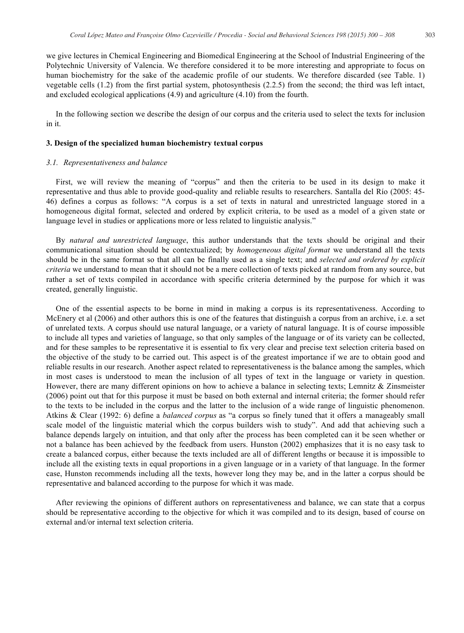we give lectures in Chemical Engineering and Biomedical Engineering at the School of Industrial Engineering of the Polytechnic University of Valencia. We therefore considered it to be more interesting and appropriate to focus on human biochemistry for the sake of the academic profile of our students. We therefore discarded (see Table. 1) vegetable cells (1.2) from the first partial system, photosynthesis (2.2.5) from the second; the third was left intact, and excluded ecological applications (4.9) and agriculture (4.10) from the fourth.

In the following section we describe the design of our corpus and the criteria used to select the texts for inclusion in it.

#### **3. Design of the specialized human biochemistry textual corpus**

#### *3.1. Representativeness and balance*

First, we will review the meaning of "corpus" and then the criteria to be used in its design to make it representative and thus able to provide good-quality and reliable results to researchers. Santalla del Río (2005: 45- 46) defines a corpus as follows: "A corpus is a set of texts in natural and unrestricted language stored in a homogeneous digital format, selected and ordered by explicit criteria, to be used as a model of a given state or language level in studies or applications more or less related to linguistic analysis."

By *natural and unrestricted language*, this author understands that the texts should be original and their communicational situation should be contextualized; by *homogeneous digital format* we understand all the texts should be in the same format so that all can be finally used as a single text; and *selected and ordered by explicit criteria* we understand to mean that it should not be a mere collection of texts picked at random from any source, but rather a set of texts compiled in accordance with specific criteria determined by the purpose for which it was created, generally linguistic.

One of the essential aspects to be borne in mind in making a corpus is its representativeness. According to McEnery et al (2006) and other authors this is one of the features that distinguish a corpus from an archive, i.e. a set of unrelated texts. A corpus should use natural language, or a variety of natural language. It is of course impossible to include all types and varieties of language, so that only samples of the language or of its variety can be collected, and for these samples to be representative it is essential to fix very clear and precise text selection criteria based on the objective of the study to be carried out. This aspect is of the greatest importance if we are to obtain good and reliable results in our research. Another aspect related to representativeness is the balance among the samples, which in most cases is understood to mean the inclusion of all types of text in the language or variety in question. However, there are many different opinions on how to achieve a balance in selecting texts; Lemnitz & Zinsmeister (2006) point out that for this purpose it must be based on both external and internal criteria; the former should refer to the texts to be included in the corpus and the latter to the inclusion of a wide range of linguistic phenomenon. Atkins & Clear (1992: 6) define a *balanced corpus* as "a corpus so finely tuned that it offers a manageably small scale model of the linguistic material which the corpus builders wish to study". And add that achieving such a balance depends largely on intuition, and that only after the process has been completed can it be seen whether or not a balance has been achieved by the feedback from users. Hunston (2002) emphasizes that it is no easy task to create a balanced corpus, either because the texts included are all of different lengths or because it is impossible to include all the existing texts in equal proportions in a given language or in a variety of that language. In the former case, Hunston recommends including all the texts, however long they may be, and in the latter a corpus should be representative and balanced according to the purpose for which it was made.

After reviewing the opinions of different authors on representativeness and balance, we can state that a corpus should be representative according to the objective for which it was compiled and to its design, based of course on external and/or internal text selection criteria.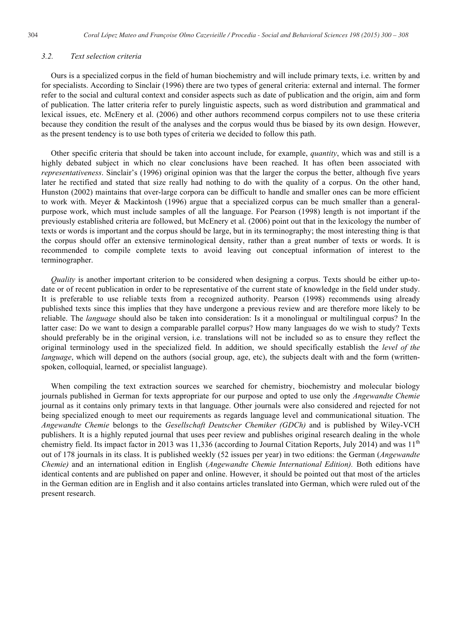## *3.2. Text selection criteria*

Ours is a specialized corpus in the field of human biochemistry and will include primary texts, i.e. written by and for specialists. According to Sinclair (1996) there are two types of general criteria: external and internal. The former refer to the social and cultural context and consider aspects such as date of publication and the origin, aim and form of publication. The latter criteria refer to purely linguistic aspects, such as word distribution and grammatical and lexical issues, etc. McEnery et al. (2006) and other authors recommend corpus compilers not to use these criteria because they condition the result of the analyses and the corpus would thus be biased by its own design. However, as the present tendency is to use both types of criteria we decided to follow this path.

Other specific criteria that should be taken into account include, for example, *quantity*, which was and still is a highly debated subject in which no clear conclusions have been reached. It has often been associated with *representativeness*. Sinclair's (1996) original opinion was that the larger the corpus the better, although five years later he rectified and stated that size really had nothing to do with the quality of a corpus. On the other hand, Hunston (2002) maintains that over-large corpora can be difficult to handle and smaller ones can be more efficient to work with. Meyer & Mackintosh (1996) argue that a specialized corpus can be much smaller than a generalpurpose work, which must include samples of all the language. For Pearson (1998) length is not important if the previously established criteria are followed, but McEnery et al. (2006) point out that in the lexicology the number of texts or words is important and the corpus should be large, but in its terminography; the most interesting thing is that the corpus should offer an extensive terminological density, rather than a great number of texts or words. It is recommended to compile complete texts to avoid leaving out conceptual information of interest to the terminographer.

*Quality* is another important criterion to be considered when designing a corpus. Texts should be either up-todate or of recent publication in order to be representative of the current state of knowledge in the field under study. It is preferable to use reliable texts from a recognized authority. Pearson (1998) recommends using already published texts since this implies that they have undergone a previous review and are therefore more likely to be reliable. The *language* should also be taken into consideration: Is it a monolingual or multilingual corpus? In the latter case: Do we want to design a comparable parallel corpus? How many languages do we wish to study? Texts should preferably be in the original version, i.e. translations will not be included so as to ensure they reflect the original terminology used in the specialized field. In addition, we should specifically establish the *level of the language*, which will depend on the authors (social group, age, etc), the subjects dealt with and the form (writtenspoken, colloquial, learned, or specialist language).

When compiling the text extraction sources we searched for chemistry, biochemistry and molecular biology journals published in German for texts appropriate for our purpose and opted to use only the *Angewandte Chemie*  journal as it contains only primary texts in that language. Other journals were also considered and rejected for not being specialized enough to meet our requirements as regards language level and communicational situation. The *Angewandte Chemie* belongs to the *Gesellschaft Deutscher Chemiker (GDCh)* and is published by Wiley-VCH publishers. It is a highly reputed journal that uses peer review and publishes original research dealing in the whole chemistry field. Its impact factor in 2013 was 11,336 (according to Journal Citation Reports, July 2014) and was  $11<sup>th</sup>$ out of 178 journals in its class. It is published weekly (52 issues per year) in two editions: the German (*Angewandte Chemie)* and an international edition in English (*Angewandte Chemie International Edition).* Both editions have identical contents and are published on paper and online. However, it should be pointed out that most of the articles in the German edition are in English and it also contains articles translated into German, which were ruled out of the present research.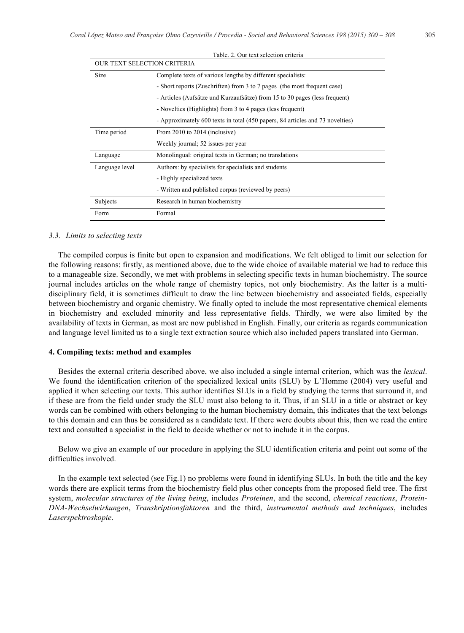| Table. 2. Our text selection criteria |                                                                               |  |  |  |
|---------------------------------------|-------------------------------------------------------------------------------|--|--|--|
| OUR TEXT SELECTION CRITERIA           |                                                                               |  |  |  |
| Size                                  | Complete texts of various lengths by different specialists:                   |  |  |  |
|                                       | - Short reports (Zuschriften) from 3 to 7 pages (the most frequent case)      |  |  |  |
|                                       | - Articles (Aufsätze und Kurzaufsätze) from 15 to 30 pages (less frequent)    |  |  |  |
|                                       | - Novelties (Highlights) from 3 to 4 pages (less frequent)                    |  |  |  |
|                                       | - Approximately 600 texts in total (450 papers, 84 articles and 73 novelties) |  |  |  |
| Time period                           | From 2010 to 2014 (inclusive)                                                 |  |  |  |
|                                       | Weekly journal; 52 issues per year                                            |  |  |  |
| Language                              | Monolingual: original texts in German; no translations                        |  |  |  |
| Language level                        | Authors: by specialists for specialists and students                          |  |  |  |
|                                       | - Highly specialized texts                                                    |  |  |  |
|                                       | - Written and published corpus (reviewed by peers)                            |  |  |  |
| Subjects                              | Research in human biochemistry                                                |  |  |  |
| Form                                  | Formal                                                                        |  |  |  |

#### *3.3. Limits to selecting texts*

The compiled corpus is finite but open to expansion and modifications. We felt obliged to limit our selection for the following reasons: firstly, as mentioned above, due to the wide choice of available material we had to reduce this to a manageable size. Secondly, we met with problems in selecting specific texts in human biochemistry. The source journal includes articles on the whole range of chemistry topics, not only biochemistry. As the latter is a multidisciplinary field, it is sometimes difficult to draw the line between biochemistry and associated fields, especially between biochemistry and organic chemistry. We finally opted to include the most representative chemical elements in biochemistry and excluded minority and less representative fields. Thirdly, we were also limited by the availability of texts in German, as most are now published in English. Finally, our criteria as regards communication and language level limited us to a single text extraction source which also included papers translated into German.

#### **4. Compiling texts: method and examples**

Besides the external criteria described above, we also included a single internal criterion, which was the *lexical*. We found the identification criterion of the specialized lexical units (SLU) by L'Homme (2004) very useful and applied it when selecting our texts. This author identifies SLUs in a field by studying the terms that surround it, and if these are from the field under study the SLU must also belong to it. Thus, if an SLU in a title or abstract or key words can be combined with others belonging to the human biochemistry domain, this indicates that the text belongs to this domain and can thus be considered as a candidate text. If there were doubts about this, then we read the entire text and consulted a specialist in the field to decide whether or not to include it in the corpus.

Below we give an example of our procedure in applying the SLU identification criteria and point out some of the difficulties involved.

In the example text selected (see Fig.1) no problems were found in identifying SLUs. In both the title and the key words there are explicit terms from the biochemistry field plus other concepts from the proposed field tree. The first system, *molecular structures of the living being*, includes *Proteinen*, and the second, *chemical reactions*, *Protein-DNA-Wechselwirkungen*, *Transkriptionsfaktoren* and the third, *instrumental methods and techniques*, includes *Laserspektroskopie*.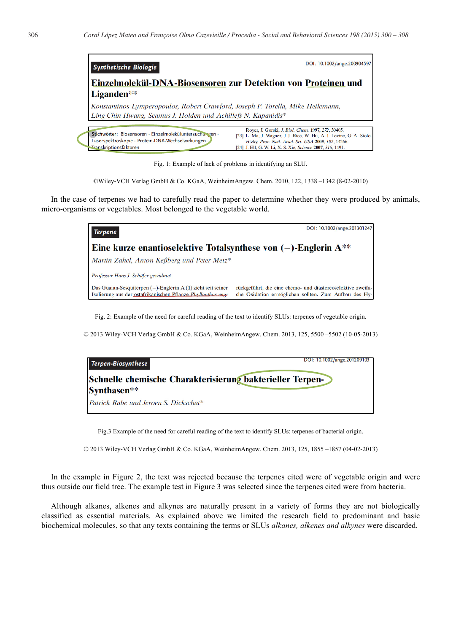| <b>Synthetische Biologie</b>                                                                                                                     | DOI: 10.1002/ange.200904597                                                                                                                                                                                                                             |  |  |  |
|--------------------------------------------------------------------------------------------------------------------------------------------------|---------------------------------------------------------------------------------------------------------------------------------------------------------------------------------------------------------------------------------------------------------|--|--|--|
| Einzelmolekül-DNA-Biosensoren zur Detektion von Proteinen und<br>Liganden**                                                                      |                                                                                                                                                                                                                                                         |  |  |  |
| Konstantinos Lymperopoulos, Robert Crawford, Joseph P. Torella, Mike Heilemann,<br>Ling Chin Hwang, Seamus J. Holden und Achillefs N. Kapanidis* |                                                                                                                                                                                                                                                         |  |  |  |
| Stichwörter: Biosensoren · Einzelmoleküluntersuchungen ·<br>Laserspektroskopie · Protein-DNA-Wechselwirkungen ·<br>Transkriptionsfaktoren        | Royer, J. Gorski, J. Biol. Chem. 1997, 272, 30405.<br>[23] L. Ma, J. Wagner, J. J. Rice, W. Hu, A. J. Levine, G. A. Stolo-<br>vitzky, Proc. Natl. Acad. Sci. USA 2005, 102, 14266.<br>[24] J. Elf. G. W. Li, X. S. Xie, <i>Science</i> 2007, 316, 1191. |  |  |  |

Fig. 1: Example of lack of problems in identifying an SLU.

©Wiley-VCH Verlag GmbH & Co. KGaA, WeinheimAngew. Chem. 2010, 122, 1338 –1342 (8-02-2010)

In the case of terpenes we had to carefully read the paper to determine whether they were produced by animals, micro-organisms or vegetables. Most belonged to the vegetable world.



Fig. 2: Example of the need for careful reading of the text to identify SLUs: terpenes of vegetable origin.

© 2013 Wiley-VCH Verlag GmbH & Co. KGaA, WeinheimAngew. Chem. 2013, 125, 5500 –5502 (10-05-2013)

| Terpen-Biosynthese                                        | DOI: 10.1002/ange.201209103 |  |  |  |
|-----------------------------------------------------------|-----------------------------|--|--|--|
| Schnelle chemische Charakterisierung bakterieller Terpen- |                             |  |  |  |
| Synthasen <sup>**</sup>                                   |                             |  |  |  |
| Patrick Rabe und Jeroen S. Dickschat*                     |                             |  |  |  |

Fig.3 Example of the need for careful reading of the text to identify SLUs: terpenes of bacterial origin.

© 2013 Wiley-VCH Verlag GmbH & Co. KGaA, WeinheimAngew. Chem. 2013, 125, 1855 –1857 (04-02-2013)

In the example in Figure 2, the text was rejected because the terpenes cited were of vegetable origin and were thus outside our field tree. The example test in Figure 3 was selected since the terpenes cited were from bacteria.

Although alkanes, alkenes and alkynes are naturally present in a variety of forms they are not biologically classified as essential materials. As explained above we limited the research field to predominant and basic biochemical molecules, so that any texts containing the terms or SLUs *alkanes, alkenes and alkynes* were discarded.

1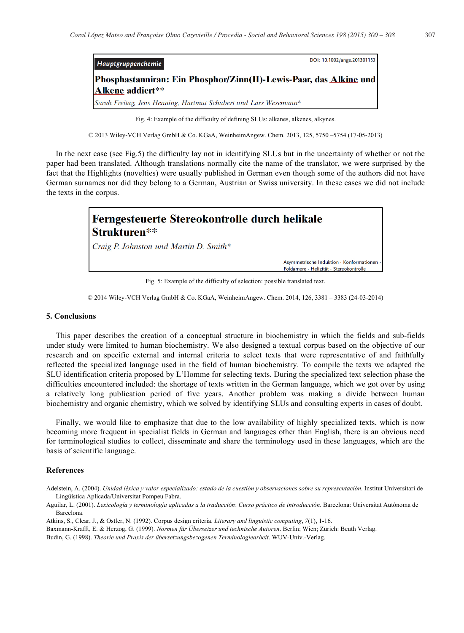| Hauptgruppenchemie                                                 | DOI: 10.1002/ange.201301153 |  |  |  |
|--------------------------------------------------------------------|-----------------------------|--|--|--|
| Phosphastanniran: Ein Phosphor/Zinn(II)-Lewis-Paar, das Alkine und |                             |  |  |  |
| Alkene addiert**                                                   |                             |  |  |  |
| Sarah Freitag, Jens Henning, Hartmut Schubert und Lars Wesemann*   |                             |  |  |  |

Fig. 4: Example of the difficulty of defining SLUs: alkanes, alkenes, alkynes.

© 2013 Wiley-VCH Verlag GmbH & Co. KGaA, WeinheimAngew. Chem. 2013, 125, 5750 –5754 (17-05-2013)

In the next case (see Fig.5) the difficulty lay not in identifying SLUs but in the uncertainty of whether or not the paper had been translated. Although translations normally cite the name of the translator, we were surprised by the fact that the Highlights (novelties) were usually published in German even though some of the authors did not have German surnames nor did they belong to a German, Austrian or Swiss university. In these cases we did not include the texts in the corpus.



Fig. 5: Example of the difficulty of selection: possible translated text.

© 2014 Wiley-VCH Verlag GmbH & Co. KGaA, WeinheimAngew. Chem. 2014, 126, 3381 – 3383 (24-03-2014)

#### **5. Conclusions**

This paper describes the creation of a conceptual structure in biochemistry in which the fields and sub-fields under study were limited to human biochemistry. We also designed a textual corpus based on the objective of our research and on specific external and internal criteria to select texts that were representative of and faithfully reflected the specialized language used in the field of human biochemistry. To compile the texts we adapted the SLU identification criteria proposed by L'Homme for selecting texts. During the specialized text selection phase the difficulties encountered included: the shortage of texts written in the German language, which we got over by using a relatively long publication period of five years. Another problem was making a divide between human biochemistry and organic chemistry, which we solved by identifying SLUs and consulting experts in cases of doubt.

Finally, we would like to emphasize that due to the low availability of highly specialized texts, which is now becoming more frequent in specialist fields in German and languages other than English, there is an obvious need for terminological studies to collect, disseminate and share the terminology used in these languages, which are the basis of scientific language.

#### **References**

Aguilar, L. (2001). *Lexicología y terminología aplicadas a la traducción*: *Curso práctico de introducción*. Barcelona: Universitat Autònoma de Barcelona.

Atkins, S., Clear, J., & Ostler, N. (1992). Corpus design criteria. *Literary and linguistic computing*, *7*(1), 1-16.

Baxmann-Krafft, E. & Herzog, G. (1999). *Normen für Übersetzer und technische Autoren*. Berlin; Wien; Zürich: Beuth Verlag.

Budin, G. (1998). *Theorie und Praxis der übersetzungsbezogenen Terminologiearbeit*. WUV-Univ.-Verlag.

Adelstein, A. (2004). *Unidad léxica y valor especializado: estado de la cuestión y observaciones sobre su representación*. Institut Universitari de Lingüística Aplicada/Universitat Pompeu Fabra.